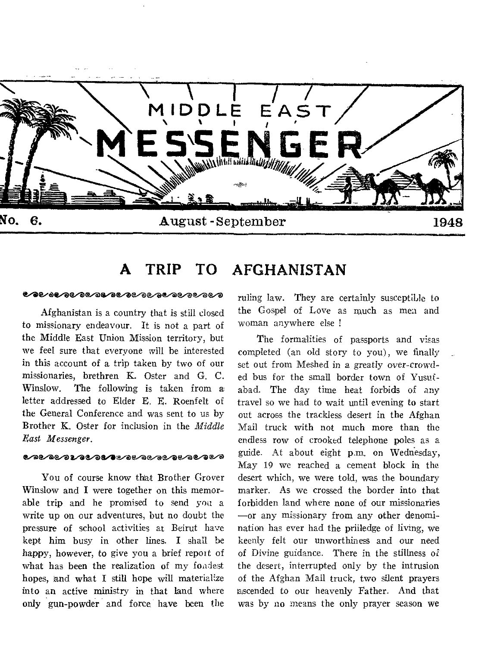

#### **A TRIP TO AFGHANISTAN**

#### **ಲೋುಲಾಲಾಲಾ**ಲಾಲಾಲಾಲಾಲಾಲಾಲಾ

Afghanistan is a country that is still dosed to missionary endeavour. It is not a part of the Middle East Union Mission territory, but we feel sure that everyone will he interested in this account of a trip taken by two of our missionaries, brethren K. Oster and G. C. Winslow. The following is taken from a letter addressed to Elder E. E. Roenfelt of the General Conference and was sent to us by Brother K. Oster for inclusion in the *Middle East Messenger.* 

#### <u>๛๛๛๛๛๛๛๛๛๛๛๛๛๛๛๛๛๛</u>๛๛๛

You of course know that Brother Grover Winslow and I were together on this memorable trip and he promised to send you a write up on our adventures, but no doubt the pressure of school activities at Beirut have kept him busy in other lines. I shall be happy, however, to give you a brief report of what has been the realization of my fondest hopes, and what I still hope will materialize into an active ministry in that land where only gun-powder and force, have been the

ruling law. They are certainly susceptible to the Gospel of Love as much as men and woman anywhere else !

The formalities of passports and visas completed (an old story to you), we finally set out from Meshed in a greatly over-crowded bus for the small border town of Yusufabad. The day time heat forbids of any travel so we had to wait until evening to start out across the trackless desert in the Afghan Mail truck with not much more than the endless row of crooked telephone poles as a guide. At about eight p.m. on Wednesday, May 19 we reached a cement block in the desert which, we were told, was the boundary marker. As we crossed the border into that forbidden land where none of our missionaries —or any missionary from any other denomination has ever had the priiledge of living, we keenly felt our unworthiness and our need of Divine guidance. There in the stillness of the desert, interrupted only by the intrusion of the Afghan Mail truck, two silent prayers lascended to our heavenly Father. And that was by no means the only prayer season we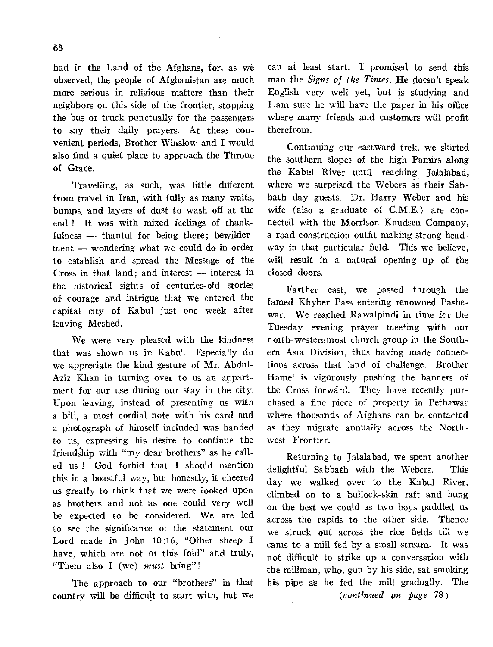had in the Land of the Afghans, for, as we observed, the people of Afghanistan are much more serious in religious matters than their neighbors on this side of the frontier, stopping the bus or truck punctually for the passengers to say their daily prayers. At these convenient periods, Brother Winslow and I would also find a quiet place to approach the Throne of Grace.

Travelling, as such, was little different from travel in Iran, with fully as many waits, bumps, and layers of dust to wash off at the end ! It was with mixed feelings of thankfulness -- thanful for being there; bewilderment — wondering what we could do in order to establish and spread the Message of the Cross in that land; and interest — interest in the historical sights of centuries-old stories of courage and intrigue that we entered the capital city of Kabul just one week after leaving Meshed.

We were very pleased with the kindness that was shown us in Kabul. Especially do we appreciate the kind gesture of Mr. Abdul-Aziz Khan in turning over to us an appartment for our use during our stay in the city. Upon leaving, instead of presenting us with a bill, a most cordial note with his card and a photograph of himself included was handed to us, expressing his desire to continue the friendship with "my dear brothers" as he called us ! God forbid that I should mention this in a boastful way, but honestly, it cheered us greatly to think that we were looked upon as brothers and not as one could very well be expected to be considered. We are led to see the significance of the statement our Lord made in John 10:16, "Other sheep I have, which are not of this fold" and truly, "Them also I (we) *must* bring"!

The approach to our "brothers" in that country will be difficult to start with, but we can at least start. I promised to send this man the *Signs of the Times.* He doesn't speak English very well yet, but is studying and I,am sure he will have the paper in his office where many friends and customers will profit therefrom.

Continuing our eastward trek, we skirted the southern slopes of the high Pamirs along the Kabul River until reaching Jalalabad, where we surprised the Webers as their Sabbath day guests. Dr. Harry Weber and his wife (also a graduate of C.M.E.) are connected with the Morrison Knudsen Company, a road construccion outfit making strong headway in that particular field. This we believe, will result in a natural opening up of the closed doors.

Farther east, we passed through the famed Khyber Pass entering renowned Pashewar. We reached Rawalpindi in time for the Tuesday evening prayer meeting with our north-westernmost church group in the Southern Asia Division, thus having made connections across that land of challenge. Brother Hamel is vigorously pushing the banners of the Cross forward. They have recently purchased a fine piece of property in Pethawar where thousands of Afghans can be contacted as they migrate annually across the Northwest Frontier.

Returning to Jalalabad, we spent another delightful Sabbath with the Webers. This day we walked over to the Kabul River, climbed on to a bullock-skin raft and hung on the best we could as two boys paddled us across the rapids to the other side. Thence we struck out across the rice fields till we came to a mill fed by a small stream. It was not difficult to strike up a conversation with the millman, who, gun by his side, sat smoking his pipe as he fed the mill gradually. The

*(continued on page* 78)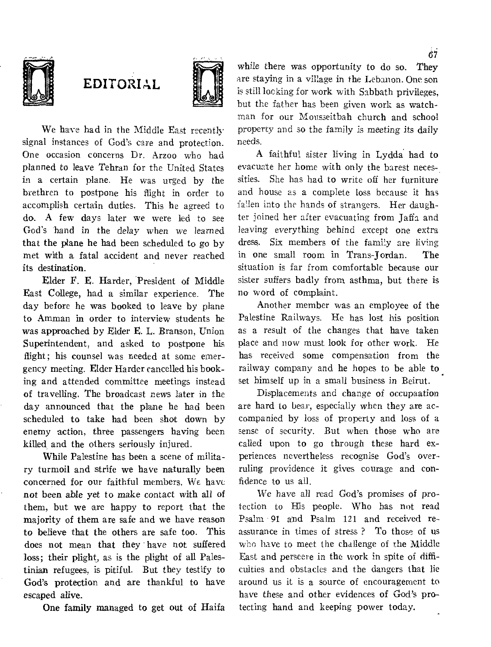

## EDITORIAL



We have had in the Middle East recently signal instances of God's care and protection. One occasion concerns Dr. Arzoo who had planned to leave Tehran for the United States in a certain plane. He was urged by the brethren to postpone his flight in order to accomplish certain duties. This he agreed to do. A few days later we were led to see God's 'hand in the delay when we learned that the plane he had been scheduled to go by met with a fatal accident and never reached its destination.

Elder F. E. Harder, President of Middle East College, had a similar experience. The day before he was booked to leave by plane to Amman in order to interview students he was approached by Elder E. L. Branson, Union Superintendent, and asked to postpone his flight; his counsel was needed at some emergency meeting. Elder Harder cancelled his booking and attended committee meetings instead of travelling. The broadcast news later in the day announced that the plane he had been scheduled to take had been shot down by enemy action, three passengers having been killed, and the others seriously injured.

While Palestine has been a scene of military turmoil and strife we have naturally been concerned for our faithful members. We have not been able yet to make contact with all of them, but we are happy to report that the Majority of them are safe and we have reason to believe that the others are safe too. This does not mean that they have not suffered loss; their plight, as is the plight of all Palestinian refugees, is pitiful. But they testify to God's protection and are thankful to have escaped alive.

One family managed to get out of Haifa

while there was opportunity to do so. They are staying in a village in the Lebanon. One son is still locking for work with Sabbath privileges, but the father has been given work as watchman for our Mousseitbah church and school property and so the family is meeting its daily needs.

A faithful sister living in Lydda had to evacuate her home with only the barest necessities. She has had to write off her furniture and house as a complete loss because it has fallen into the hands of strangers. Her daughter joined her after evacuating from Jaffa and leaving everything behind except one extra dress. Six members of the family are living in one small room in Trans-Jordan. The situation is far from comfortable because our sister suffers badly from asthma, but there is no word of complaint.

Another member was an employee of the Palestine Railways. He has lost his position as a result of the changes that have taken place and now must look for other work. He has received some compensation from the railway company and he hopes to be able to set himself up in a small business in Beirut.

Displacements and change of occupaation are hard to bear, especially when they are accompanied by loss of property and loss of a sense of security. But when those who are called upon to go through these hard experiences nevertheless recognise God's overruling providence it gives courage and confidence to us all.

We have all read God's promises of protection to His people. Who has not read Psalm 91 and Psalm 121 and received reassurance in times of stress ? To those of us who have to meet the challenge of the Middle East and perseere in the work in spite of difficulties and obstacles and the dangers that lie around us it is a source of encouragement to have these and other evidences of God's protecting hand and keeping power today.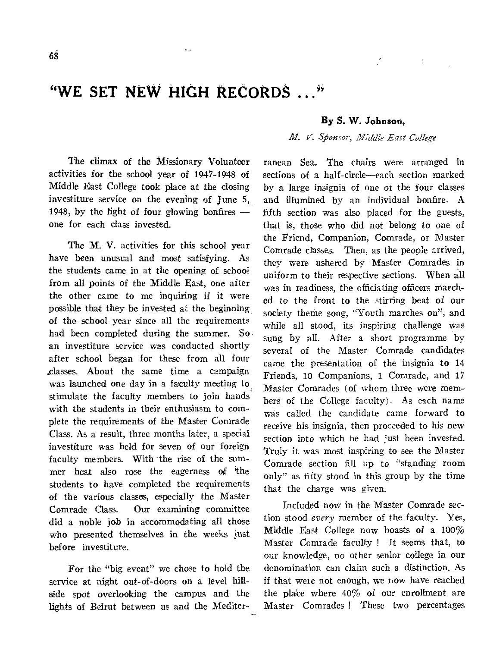## **"WE SET NEW HIGH RECORDS ..."**

The climax of the Missionary Volunteer activities for the school year of 1947-1948 of Middle East College took place at the closing investiture service on the evening of June 5, 1948, by the light of four glowing bonfires one for each class invested.

The M. V. activities for this school year have been unusual and most satisfying. As the students came in at the opening of schooi from all points of the Middle East, one after the other came to me inquiring if it were possible that they be invested at the beginning of the school year since all the requirements had been completed during the summer. So an investiture service was conducted shortly after school began for these from all four .classes. About the same time a campaign was launched one day in a faculty meeting to stimulate the faculty members to join hands with the students in their enthusiasm to complete the requirements of the Master Comrade Class. As a result, three months later, a special investiture was held for seven of our foreign faculty members. With the rise of the summer heat also rose the eagerness of the students to have completed the requirements of the various classes, especially the Master Comrade Class. Our examining committee did a noble job in accommodating all those who presented themselves in the weeks just before investiture.

For the "big event" we chose to hold the service at night out-of-doors on a level hillside spot overlooking the campus and the lights of Beirut between us and the Mediter-

#### **By S. W. Johnsod,**

Y

#### *M. V. Sponcor, Middle East College*

ranean Sea. The chairs were arranged in sections of a half-circle—each section marked by a large insignia of one of the four classes and illumined by an individual bonfire. A fifth section was also placed for the guests, that is, those who did not belong to one of the Friend, Companion, Comrade, or Master Comrade classes. Then, as the people arrived, they were ushered by Master Comrades in uniform to their respective sections. When all was in readiness, the officiating officers marched to the front to the stirring beat of our society theme song, "Youth marches on", and while all stood, its inspiring challenge was sung by all. After a short programme by several of the Master Comrade candidates came the presentation of the insignia to 14 Friends, 10 Companions, 1 Comrade, and 17 Master Comrades (of whom three were members of the College faculty). As each name was called the candidate came forward to receive his insignia, then proceeded to his new section into which he had just been invested. Truly it was most inspiring to *see* the Master Comrade section fill up to "standing room only" as fifty stood in this group by the time that the charge was given.

Included now in the Master Comrade section stood *every* member of the faculty. Yes, Middle East College now boasts of a 100% Master Comrade faculty I It seems that, to our knowledge, no other senior college in our denomination can claim such a distinction. As if that were not enough, we now have reached the place where 40% of our enrollment are Master Comrades ! These two percentages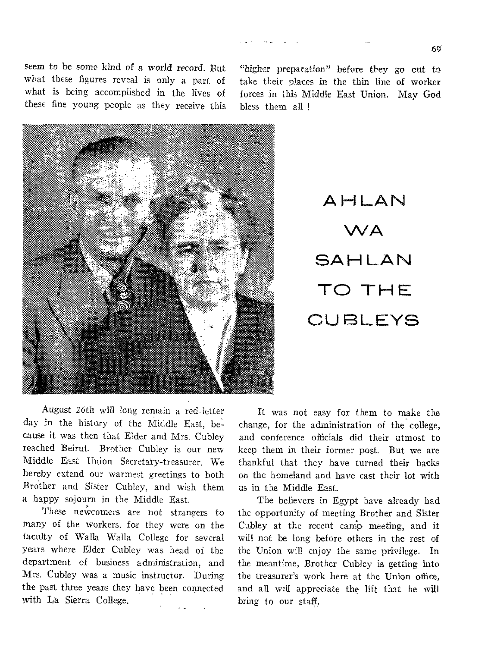6g

seem to be some kind of a world record. But what these figures reveal is only a part of what is being accomplished in the lives of these fine young people as they receive this

"higher preparation" before they go out to take their places in the thin line of worker forces in this Middle East Union. May God bless them all !



AHLAN WA **SAHLAN** TO THE **CUBLEYS** 

August 26th will long remain a red-letter day in the history of the Middle East, because it was then that Elder and Mrs. Cubley reached Beirut. Brother Cubley is our new Middle East Union Secretary-treasurer. We hereby extend our warmest greetings to both Brother and Sister Cubley, and wish them a happy sojourn in the Middle East.

These newcomers are not strangers to many of the workers, for they were on the faculty of Walla Walla College for several years where Elder Cubley was head of the department of business administration, and Mrs. Cubley was a music instructor. During the past three years they have been connected with La Sierra College.

It was not easy for them to make the change, for the administration of the college, and conference officials did their utmost to keep them in their former post. But we are thankful that they have turned their backs on the homeland and have cast their lot with us in the Middle East.

The believers in Egypt have already had the opportunity of meeting Brother and Sister Cubley at the recent camp meeting, and it will not be long before others in the rest of the Union will enjoy the same privilege. In the meantime, Brother Cubley is getting into the treasurer's work here at the Union office, and all will appreciate the lift that he will bring to our staff.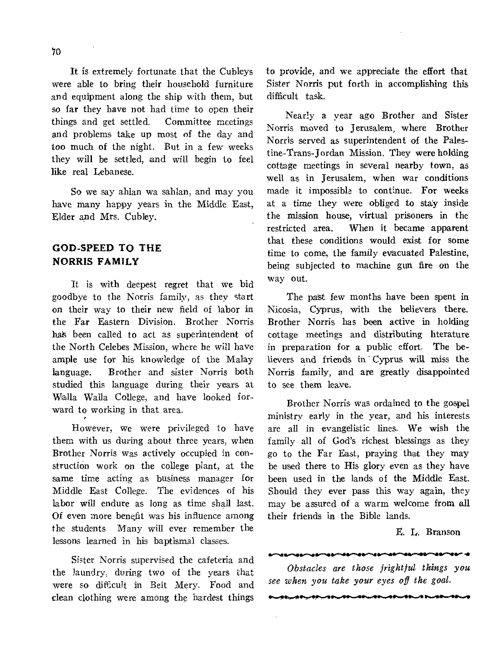It is extremely fortunate that the Cubleys were able to bring their household furniture and equipment along the ship with them, but so far they have not had time to open their things and get settled. Committee meetings and problems take up most of the day and too much of the night. But in a few weeks they will be settled, and will begin to feel like real Lebanese.

So we say ahian wa sahlan, and may you have many happy years in the Middle East, Elder and Mrs. Cubley.

### **GOD-SPEED TO THE NORRIS FAMILY**

It is with deepest regret that we bid goodbye to the Norris family, as they start on their way to their new field of labor in the Far Eastern Division. Brother Norris has been called to act as superintendent of the North Celebes Mission, where he will have ample use for his knowledge of the Malay language. Brother and sister Norris both studied this language during their years at Walla Walla College, and have looked forward to working in that area.

However, we were privileged to have them with us during about three years, when Brother Norris was actively occupied in construction work on the college plant, at the same time acting as business manager for Middle East College. The evidences of his labor will endure as long as time shall last. Of even more benefit was his influence among the students Many will ever remember the lessons learned in his baptismal classes.

Sister Norris supervised the cafeteria and the laundry, during two of the years that were so difficult in Beit Mery. Food and clean clothing were among the hardest things

to provide, and we appreciate the effort that Sister Norris put forth in accomplishing this difficult task.

Nearly a year ago Brother and Sister Norris moved to Jerusalem, where Brother Norris served as superintendent of the Palestine-Trans-Jordan Mission. They were holding cottage meetings in several nearby town, as well as in Jerusalem, when war conditions made it impossible to continue. For weeks at a time they were obliged to stay inside the mission house, virtual prisoners in the restricted area. When it became apparent that these conditions would exist for some time to come, the family evacuated Palestine, being subjected to machine gun fire on the way out.

The past few months have been spent in Nicosia, Cyprus, with the believers there. Brother Norris has been active in holding cottage meetings and distributing literature in preparation for a public effort. The believers and friends in Cyprus will miss the Norris family, and are greatly disappointed to see them leave.

Brother Norris was ordained to the gospel ministry early in the year, and his interests are all in evangelistic lines. We wish the family all of God's richest blessings as they go to the Far East, praying that they may be used there to His glory even as they have been used in the lands of the Middle East. Should they ever pass this way again, they may be assured of a warm welcome from all their friends in the Bible lands. 11. FIRENDE AT THE BILD AND SALES AND THE MEANS OF THE BILD AND THE RESIDENCE ARE SERVED ON A PART OF THE SALES OF THE SALES OF THE SALES OF THE SALES OF THE SALES OF THE SALES OF THE SALES OF THE SALES OF THE SALES OF THE

#### E. L. Branson

**re.1111./1.s.** 

*Obstacles are those frightful things you see when you take your eyes off the goal.*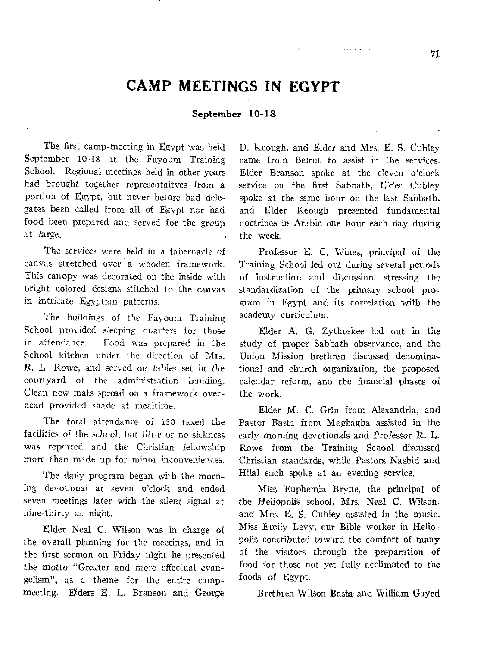## **CAMP MEETINGS IN EGYPT**

#### **September 10-18**

The first camp-meeting in Egypt was held September 10-18 at the Fayoum Training School. Regional meetings held in other years had brought together representaitves from a portion of Egypt, but never betore had delegates been called from all of Egypt nor had food been prepared and served for the group at large.

The services were held in a tabernacle of canvas stretched over a wooden framework. This canopy was decorated on the inside with bright colored designs stitched to the cainvas in intricate Egyptian patterns.

The buildings of the Fayoum Training School provided sleeping quarters for those in attendance. Food was prepared in the School kitchen under the direction of Mrs. **R.** L. Rowe, and served on tables set in the courtyard of the administration building. Clean new mats spread on a framework overhead provided shade at mealtime.

The total attendance of 150 taxed **the**  facilities of the *school,* but little or no **sickness**  was reported and the Christian **fellowship more** than made up for minor inconveniences.

The daily program began with the morning devotional at **seven** o'clock and ended seven meetings later with the silent signal at nine-thirty at night.

Elder Neal C. Wilson **was in charge of**  the overall planning for the **meetings, and** in the first sermon on Friday night **he presented**  the motto "Greater and more effectual evangelism", as a theme for the entire campmeeting. Elders **E. L. Branson and George**  **D. Keough, and Elder** and Mrs. E. S. Cubley came from Beirut to assist in the services. Elder Branson spoke at the eleven o'clock service on the first Sabbath, Elder Cubley spoke at the same hour on the last Sabbath, and Elder Keough presented fundamental doctrines in Arabic one hour each day during the week.

and a series

Professor E. C. Wines, principal of the Training School led out during several periods of instruction and discussion, stressing the standardization of the primary school program in Egypt and its correlation with the academy curriculum.

Elder **A.** G. Zytkoskee lcd out in **the**  study of proper Sabbath observance, and the Union Mission brethren discussed denominational and church organization, the proposed calendar reform, and the financial phases **of the work.** 

Elder M. *C.* Grin from Alexandria, **and**  Pastor Basta from Maghagha assisted in the early morning devotionals and Professor **R.** L. Rowe from, the Training School discussed Christian standards, while Pastors Nashid and Hilal each spoke at an evening service.

Miss Euphemia Bryne, the principal of the Heliopolis school, Mrs. Neal *C.* Wilson, and Mrs. E. S. Cubley assisted in the music. Miss Emily Levy, our Bible worker in Heliopolis contributed toward the comfort of many of the visitors through the preparation of food for those not yet fully acclimated to the foods of Egypt.

Brethren Wilson Basta and William Gayed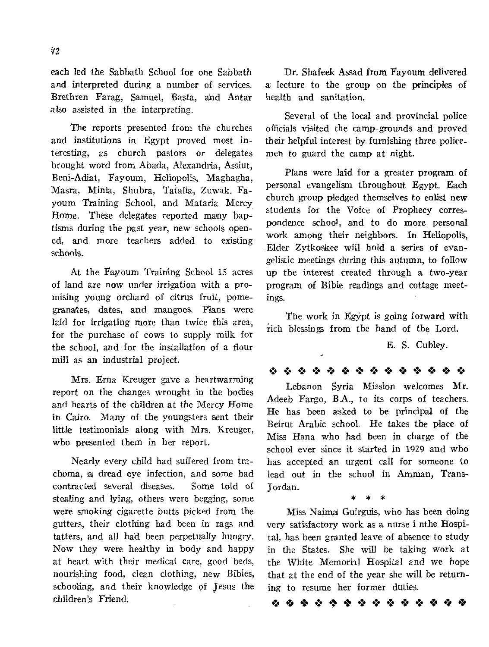each led the Sabbath School for one Sabbath and interpreted during a number of services. Brethren Farag, Samuel, Basta, and Antar also assisted in the interpreting.

The reports presented from the churches and institutions in Egypt proved most interesting, as church pastors or delegates brought word from Abada, Alexandria, Assiut, Beni-Adiat, Fayoum, Heliopolis, Maghagha, Masra, Minia, Shubra, Tatalia, Zuwak, Fayoum Training School, and Mataria Mercy Home. These delegates reported many baptisms during the past year, new schools opened, and more teachers added to existing schools.

At the Fayoum Training School 15 acres of land are now under irrigation with a promising young orchard of citrus fruit, pomegranates, dates, and mangoes. Plans were laid for irrigating more than twice this area, for the purchase of cows to supply milk for the school, and for the installation of a flour mill as an industrial project.

Mrs. Erna Kreuger gave a heartwarming report on the changes wrought in the bodies and hearts of the children at the Mercy Home in Cairo. Many of the youngsters sent their little testimonials along with Mrs. Kreuger, who presented them in her report.

Nearly every child had suffered from trachoma, a dread eye infection, and some had contracted several diseases. Some told of stealing and lying, others were begging, some were smoking cigarette butts picked from the gutters, their clothing had been in rags and tatters, and all had been perpetually hungry. Now they were healthy in body and happy at heart with their medical care, good beds, nourishing food, clean clothing, new Bibles, schooling, and their knowledge of Jesus the children's Friend.

Dr. Shale& Assad from Fayoum delivered a lecture to the group on the principles of health and sanitation.

Several of the local and provincial police officials visited the camp-grounds and proved their helpful interest by furnishing three policemen to guard the camp at night.

Plans were laid for a greater program of personal evangelism throughout Egypt. Each church group pledged themselves to enlist new students for the Voice of Prophecy correspondence school, and to do more personal work among their neighbors. In Heliopolis, Elder Zytkoskee will hold a series of evangelistic meetings during this autumn, to follow up the interest created through a two-year program of Bible readings and cottage meetings.

The work in Egypt is going forward with rich blessings from the hand of the Lord.

E. S. Cubley.

**10 0 0 10 10 4. 10 .: 10 0** 44 0

Lebanon Syria Mission welcomes Mr. Adeeb Fargo, B.A., to its corps of teachers. He has been asked to be principal of the Beirut Arabic school. He takes the place of Miss Hana who had been in charge of the school ever since it started in 1929 and who has accepted an urgent call for someone to lead out in the school in Amman, Trans-Jordan. \* \* \*

Miss Naima Guirguis, who has been doing very satisfactory work as a nurse i nthe Hospital, has been granted leave of absence to study in the States. She will be taking work at the White Memorial Hospital and we hope that at the end of the year she will be returning to resume her former duties.

0 **4,** 0 40, 0 0 44 4,44 40 0 **0**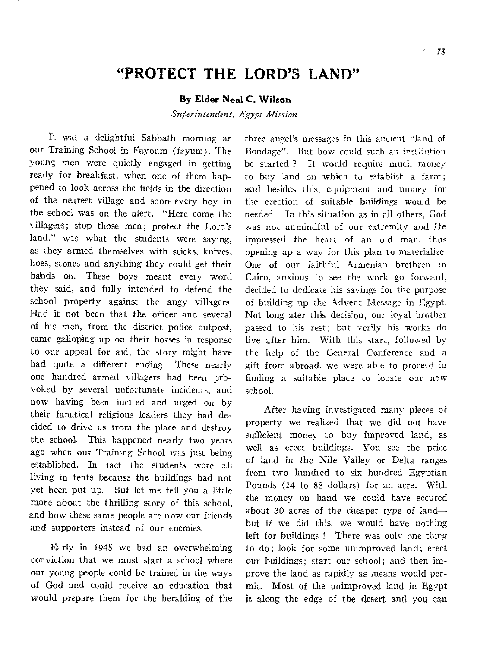## **"PROTECT THE LORD'S LAND"**

#### **By Elder Neal C. Wilson**

*Superintendent, Egypt Mission* 

It was a delightful Sabbath morning at our Training School in Fayoum (fayum). The young men were quietly engaged in getting ready for breakfast, when one of them happened to look across the fields in the direction of the nearest village and soon• every boy in the school was on the alert. "Here come the villagers; stop those men; protect the Lord's land," was what the students were saying, as they armed themselves with sticks, knives, hoes, stones and anything they could get their hands on. These boys meant every word they said, and fully intended to defend the school property against the angy villagers. Had it not been that the officer and several of his men, from the district police outpost, came galloping up on their horses in response to our appeal for aid, the story might have had quite a different ending. These nearly one hundred armed villagers had been proyoked by several unfortunate incidents, and now having been incited and urged on by their fanatical religious leaders they had decided to drive us from the place and destroy the school. This happened nearly two years ago when our Training School was just being established. In fact the students were all living in tents because the buildings had not yet been put up. But let me tell you a little more about the thrilling story of this school, and how these same people are now our friends and supporters instead of our enemies.

Early in 1945 we had an overwhelming conviction that we must start a school where our young people could be trained in the ways of God and could receive an education that would prepare them for the heralding of the three angel's messages in this ancient **"land** of Bondage". But how could such an inst:tution be started ? It would require much money to buy land on which to establish a farm; and besides this, equipment and money for the erection of suitable buildings would be needed. In this situation as in all others, God was not unmindful of our extremity and He impressed the heart of an old man, thus opening up a way for this plan to materialize. One of our faithful Armenian brethren in Cairo, anxious to see the work go forward, decided to dedicate his savings for the purpose of building up the Advent Message in Egypt. Not long ater this decision, our loyal brother passed to his rest; but verily his works do live after him. With this start, followed by the help of the General Conference and a gift from abroad, we were able to proceed in finding a suitable place to locate our new school.

After having investigated many pieces of property we realized that we did not have sufficient money to buy improved land, as well as erect buildings. You see the price of land in the Nile Valley or Delta ranges from two hundred to six hundred Egyptian Pounds (24 to 88 dollars) for an acre. With the money on hand we could have secured about 30 acres of the cheaper type of land but if we did this, we would have nothing left for buildings ! There was only one thing to do; look for some unimproved land; erect our buildings; start our school; and then improve the land as rapidly as means would permit. Most of the unimproved land in Egypt is along the edge of the desert and you can

x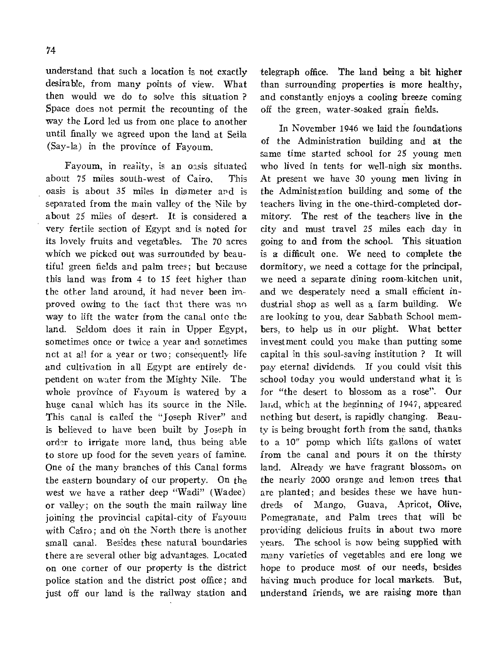understand that such a location is not exactly desirable, from many points of view. What then would we do to solve this situation ? Space does not permit the recounting of the way the Lord led us from one place to another until finally we agreed upon the land at Seila (Say-la) in the province of Payoum.

Fayoum, in reality, is an oasis situated about 75 miles south-west of Cairo. This oasis is about 35 miles in diameter and is separated from the main valley of the Nile by about 25 miles of desert. It is considered a very fertile section of Egypt and is noted for its lovely fruits and vegetables. The 70 acres which we picked out was surrounded by beautiful green fields and palm trees; but because this land was from 4 to 15 feet higher than the other land around, it had never been improved owing to the fact that there was no way to lift the water from the canal onto the land. Seldom does it rain in Upper Egypt, sometimes once or twice a year and sometimes net at all for a year or two; consequently life and cultivation in all Egypt are entirely dependent on water from the Mighty Nile. The whole province of Fayoum is watered by a huge canal which has its source in the Nile. This canal is called the "Joseph River" and is believed to have been built by Joseph in order to irrigate more land, thus being able to store up food for the seven years of famine. One of the many branches of this Canal forms the eastern boundary of our property. On the west we have a rather deep "Wadi" (Wadee) or valley; on the south the main railway line joining the provincial capital-city of Fayouni with Cairo; and on the North there is another small canal. Besides these natural boundaries there are several other big advantages. Located on one corner of our property is the district police station and the district post office; and just off our land is the railway station and

telegraph office. The land being a bit higher than surrounding properties is more healthy, and constantly enjoys a cooling breeze coming off the green, water-soaked grain fields.

In November 1946 we laid the foundations of the Administration building and at the same time started school for 25 young men who lived in tents for well-nigh six months. At present we have 30 young men living in the Administration building and some of the teachers living in the one-third-completed dormitory. The rest of the teachers live in the city and must travel 25 miles each day in going to and from the school. This situation is a difficult one. We need to complete the dormitory, we need a cottage for the principal, we need a separate dining room-kitchen unit, and we desperately need a small efficient industrial shop as well as a farm building. We are looking to you, dear Sabbath School members, to help us in our plight. What better investment could you make than putting some capital in this soul-saving institution ? It will pay eternal dividends. If you could visit this school today you would understand what it is for "the desert to blossom as a rose". Our land, which at the beginning of 1947, appeared nothing but desert, is rapidly changing. Beauty is being brought forth from the sand, thanks to a 10" pomp which lifts gallons of water from the canal and pours it on the thirsty land. Already we have fragrant blossoms on the nearly 2000 orange and lemon trees that are planted; and besides these we have hundreds of Mango, Guava, Apricot, Olive, Pomegranate, and Palm trees that will be providing delicious fruits in about two more years. The school is now being supplied with many varieties of vegetables and ere long we hope to produce most of our needs, besides having much produce for local markets. But, understand friends, we are raising more than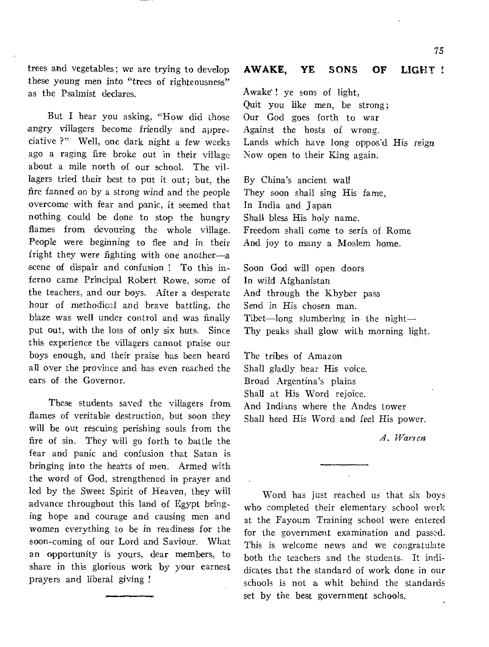trees and vegetables; we are trying to develop these young men into "trees of righteousness" as the Psalmist declares.

But I hear you asking, "How did those angry villagers become friendly and appreciative ?" Well, one dark night a few weeks ago a raging fire broke out in their village about a mile north of our school. The villagers tried their best to put it out; but, the fire fanned on by a strong wind and the people overcome with fear and panic, it seemed that nothing could be done to stop the hungry flames from devouring the whole village. People were beginning to flee and in their fright they were fighting with one another—a scene of dispair and confusion ! To this inferno came Principal Robert Rowe, some of the teachers, and our boys. After a desperate hour of methodical and brave battling, the blaze was well under control and was finally put out, with the loss of only six huts. Since this experience the villagers cannot praise our boys enough, and their praise has been heard all over the province and has even reached the ears of the Governor.

These students saved the villagers from flames of veritable destruction, but soon they will be out rescuing perishing souls from the fire of sin. They will go forth to battle the fear and panic and confusion that Satan is bringing into the hearts of men. Armed with the word of God, strengthened in prayer and led by the Sweet Spirit of Heaven, they will advance throughout this land of Egypt bringing hope and courage and causing men and women everything to be in readiness for the soon-coming of our Lord and Saviour. What an opportunity is yours, dear members, to share in this glorious work by your earnest prayers and liberal giving !

#### **AWAKE, YE SONS** OF LIGHT

Awake ! ye sons of light, Quit you like men, be strong; Our God goes forth to war Against the hosts of wrong. Lands which have long oppos'd His reign Now open to their King again.

By China's ancient wall They soon shall sing His fame, In India and Japan Shall bless His holy name. Freedom shall come to serfs of Rome And joy to many a Moslem home.

Soon God will open doors In wild Afghanistan And through the Khyber pass Send in His chosen man. Tibet—long slumbering in the night— Thy peaks shall glow with morning light.

The tribes of Amazon Shall gladly hear His voice. Broad Argentina's plains Shall at His Word rejoice. And Indians where the Andes tower Shall heed His Word and feel His power.

A. Warien

Word has just reached us that six boys who completed their elementary school work at the Fayoum Training school were **entered**  for the government examination and **passed.**  This is welcome news and we *congratulate*  both the teachers and the students. It indidicates that the standard of work done in our schools is not a whit behind the standards set by the best government schools.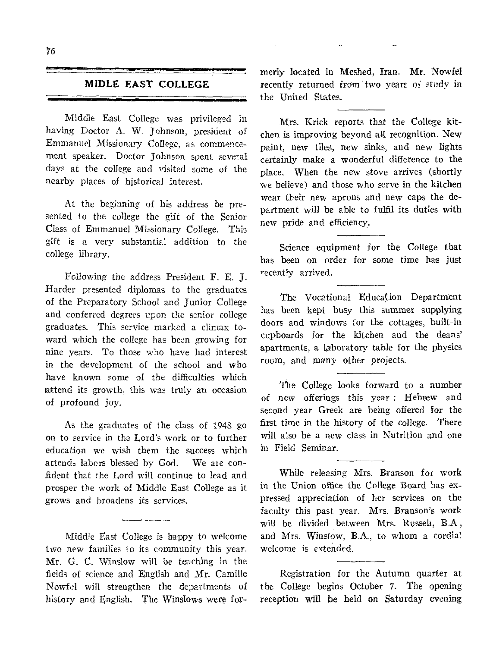and the control of the control of

#### **MIDLE EAST COLLEGE**

Middle East College was privileged in having Doctor A. W. Johnson, president of Emmanuel Missionary College, as commencement speaker. Doctor Johnson spent several days at the college and visited some of the nearby places of historical interest.

At the beginning of his address he presented to the college the gift of the Senior Class of Emmanuel Missionary College. This gift is a very substantial addition to the college library.

Following the address President E. E. J. Harder presented diplomas to the graduates of the Preparatory School and Junior College and conferred degrees upon the senior college graduates. This service marked a climax toward which the college has been growing for nine years. To those who have had interest in the development of the school and who have known some of the difficulties which attend its growth, this was truly an occasion of profound joy.

As the graduates of the class of 1948 go on to service in the Lord's work or to further education we wish them the success which attends labors blessed by God. We are confident that the Lord will continue to lead and prosper the work of Middle East College as it grows and broadens its services.

Middle East College is happy to welcome two new families to its community this year. Mr. G. C. Winslow will be teaching in the fields of science and English and Mr. Camille Nowfel will strengthen the departments of history and English, The Winslows were formerly located in Meshed, Iran. Mr. Nowfel recently returned from two years of study in the United States.

Mrs. Krick reports that the College kitchen is improving beyond all recognition. New paint, new tiles, new sinks, and new lights certainly make a wonderful difference to the place. When the new stove arrives (shortly we believe) and those who serve in the kitchen wear their new aprons and new caps the department will be able to fulfil its duties with new pride and efficiency.

Science equipment for the College that has been on order for some time has just recently arrived.

The Vocational Educakion Department has been kept busy this summer supplying doors and windows for the cottages, built-in cupboards for the kitchen and the deans' apartments, a laboratory table for the physics room, and many other projects.

The College looks forward to a number of new offerings this year : Hebrew and second year Greek are being offered for the first time in the history of the college. There will also be a new class in Nutrition and one in Field Seminar.

While releasing Mrs. Branson for work in the Union office the College Board has expressed appreciation of her services on the faculty this past year. Mrs. Branson's work will be divided between Mrs. Russeli, B.A , and Mrs. Winslow, B.A., to whom a cordia! welcome is extended.

Registration for the Autumn quarter at the College begins October 7. The opening reception will be held on Saturday evening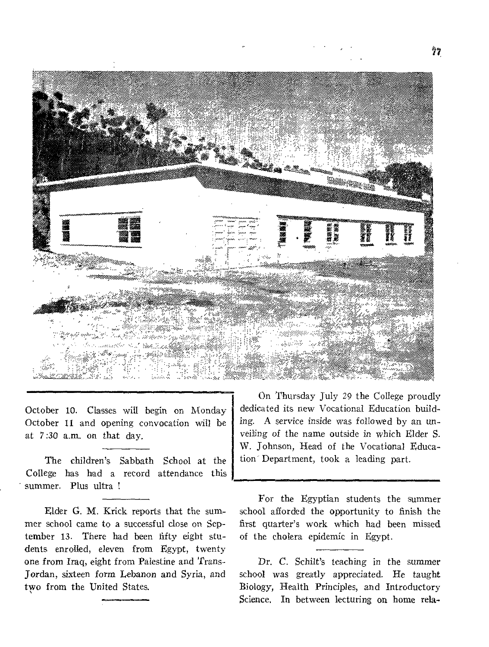

October 10. Classes will begin on Monday October 11 and opening convocation will be at 7:30 a.m. on that day.

The children's Sabbath School at the College has had a record attendance this summer. Plus ultra !

Elder G. M. Krick reports that the summer school came to a successful close on September 13. There had been fifty eight students enrolled, eleven from Egypt, twenty one from Iraq, eight from Palestine and 'Trans-Jordan, sixteen form Lebanon and Syria, and two from the United States.

On Thursday July 29 the College proudly dedicated its new Vocational Education building. A service inside was followed by an unveiling of the name outside in which Elder S. W. Johnson, Head of the Vocational Education' Department, took a leading part.

For the Egyptian students the summer school afforded the opportunity to finish the first quarter's work which had been missed of the cholera epidemic in Egypt.

Dr. *C.* Schilt's teaching in the summer school was greatly *appreciated.* He taught Biology, Health Principles, and Introductory Science. In between lecturing on home rela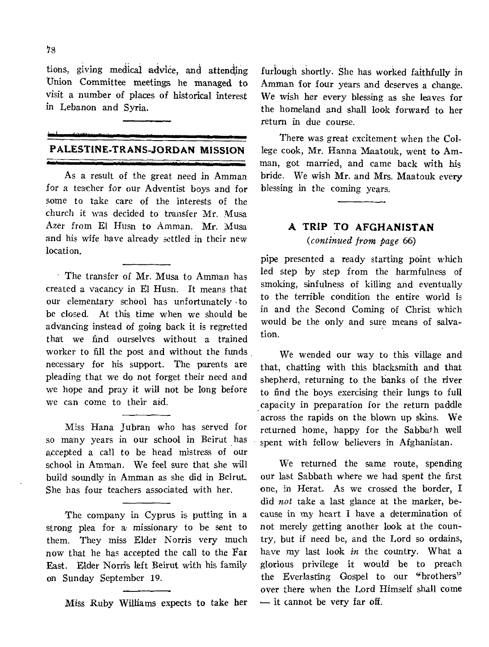tions, giving medical advice, and attending Union Committee meetings he managed to visit a number of places of historical interest in Lebanon and Syria.

### **PALESTINE-TRANS-JORDAN MISSION**

As a result of the great need in Amman for a teacher for our Adventist boys and for some to take care of the interests of the church it was decided to transfer Mr. Musa Azer from El Husn to Amman. Mr. Musa and his wife have already settled in their new location.

The transfer of Mr. Musa to Amman has created a vacancy in El Husn. It means that our elementary school has unfortunately •to be closed. At this time when we should be advancing instead of going back it is regretted that we find ourselves without a trained worker to fill the post and without the funds necessary for his support. The parents are pleading that we do not forget their need and we hope and pray it will not be long before we can come to their aid.

Miss Hana Jubran who has served for so many years in our school in Beirut has accepted a call to be head mistress of our school in Amman. We feel sure that she will build soundly in Amman as she did in Beirut. She has four teachers associated with her.

The company in Cyprus is putting in a strong plea for a missionary to be sent to them. They miss Elder Norris very much now that he has accepted the call to the Far East. Elder Norris left Beirut with his family on Sunday September 19.

Miss Ruby Williams expects to take her

furlough shortly. She has worked faithfully in Amman for four years and deserves a change. We wish her every blessing as she leaves for the homeland and shall look forward to her return in due course.

There was great excitement when the College cook, Mr. Hanna Maatouk, went to Amman, got married, and came back with his bride. We wish Mr. and Mrs. Maatouk every blessing in the coming years.

## **A TRIP TO AFGHANISTAN**  *(continued from page* 66)

pipe presented a ready starting point which led step by step from the harmfulness of smoking, sinfulness of killing and eventually to the terrible condition the entire world is in and the Second Coming of Christ which would be the only and sure means of salvation.

We wended our way to this village and that, chatting with this blacksmith and that shepherd, returning to the banks of the river to find the boys exercising their lungs to full capacity in preparation for the return paddle across the rapids on the blown up skins. We returned home, happy for the Sabbath well spent with fellow believers in Afghanistan.

We returned the same route, spending our last Sabbath where we had spent the first one, in Herat. As we crossed the border, **I**  did *not* take a last glance at the marker, because in my heart I have a determination of not merely getting another look at the country, but if need be, and the Lord so ordains, have my last look *in* the country. What a glorious privilege it would be to preach the Everlasting Gospel to our "brothers" over there when the Lord Himself shall come — it cannot be very far off.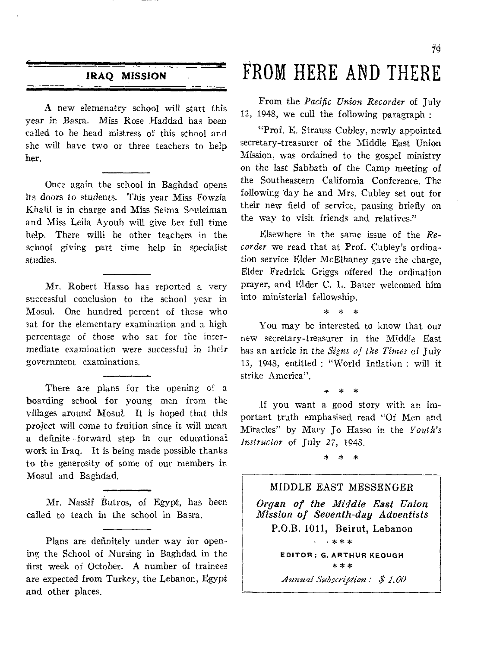### **IRAQ MISSION**

A new elemenatry school will start this year in Basra. Miss Rose Haddad has been called to be head mistress of this school and she will have two or three teachers to help her.

Once again the school in Baghdad opens its doors to students. This year Miss Fowzia Khalil is in charge and Miss Selma Souleiman and Miss Leila Ayoub will give her full time help. There willl be other teachers in the school giving part time help in specialist studies.

Mr. Robert Hasso has reported a very successful conclusion to the school year in Mosul. One hundred percent of those who sat for the elementary examination and a high percentage of those who sat for the intermediate examination were successful in their government examinations.

There are plans for the opening of a boarding school for young men from the villages around Mosul. It is hoped that this project will come to fruition since it will mean a definite forward step in our educational work in Iraq. It is being made possible thanks to the generosity of some of our members in Mosul and Baghdad.

Mr. Nassif Butros, of Egypt, has been called to teach in the school in Basra.

Plans are definitely under way for opening the School of Nursing in Baghdad in the first week of October. A number of trainees are expected from Turkey, the Lebanon, Egypt and other places.

# FROM HERE AND THERE

From the *Pacific Union Recorder* of July 12, 1948, we cull the following paragraph :

"Prof. E. Strauss Cubley, newly appointed secretary-treasurer of the Middle East Union Mission, was ordained to the gospel ministry on the last Sabbath of the Camp meeting of the Southeastern California Conference. The following day he and Mrs. Cubley set out for their new field of service, pausing briefly on the way to visit friends and relatives."

Elsewhere in the same issue of the *Recorder* we read that at Prof. Cubley's ordination *service* Elder McElhaney gave the charge, Elder Fredrick Griggs offered the ordination prayer, and Elder C. L. Bauer welcomed him into ministerial fellowship.

\* \* \*

You may be interested to know that our new secretary-treasurer in the Middle East has an article in *the Signs of the Times* of July 13, 1948, entitled : "World Inflation : will it strike America".

• \* \* If you want a good story with an important truth emphasised read "Of Men and Miracles" by Mary Jo Hasso in the *Youth's Instructor* of July 27, 1948.

\* \* \*

#### MIDDLE EAST MESSENGER

*Organ of the Middle East Union Mission of Seventh-day Adventists*  P.O.B. 1011, Beirut, Lebanon

> **EDITOR: G. ARTHUR KEOUGH \*\*\***

• \*\* \*

*Annual Subscription* : \$ 1.00